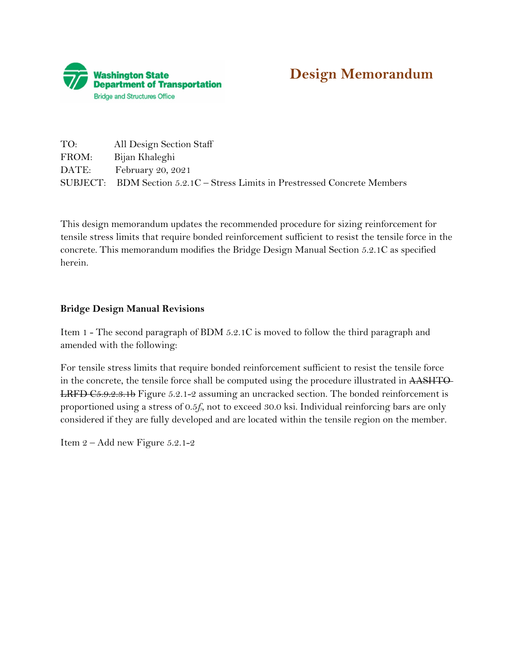



| TO:   | All Design Section Staff                                                    |
|-------|-----------------------------------------------------------------------------|
| FROM: | Bijan Khaleghi                                                              |
| DATE: | February 20, 2021                                                           |
|       | SUBJECT: BDM Section 5.2.1C – Stress Limits in Prestressed Concrete Members |

This design memorandum updates the recommended procedure for sizing reinforcement for tensile stress limits that require bonded reinforcement sufficient to resist the tensile force in the concrete. This memorandum modifies the Bridge Design Manual Section 5.2.1C as specified herein.

## **Bridge Design Manual Revisions**

Item 1 - The second paragraph of BDM 5.2.1C is moved to follow the third paragraph and amended with the following:

For tensile stress limits that require bonded reinforcement sufficient to resist the tensile force in the concrete, the tensile force shall be computed using the procedure illustrated in AASHTO-LRFD [C5.9.2.3.1b](https://C5.9.2.3.1b) Figure 5.2.1-2 assuming an uncracked section. The bonded reinforcement is proportioned using a stress of 0.5*fy*, not to exceed 30.0 ksi. Individual reinforcing bars are only considered if they are fully developed and are located within the tensile region on the member.

Item 2 – Add new Figure 5.2.1-2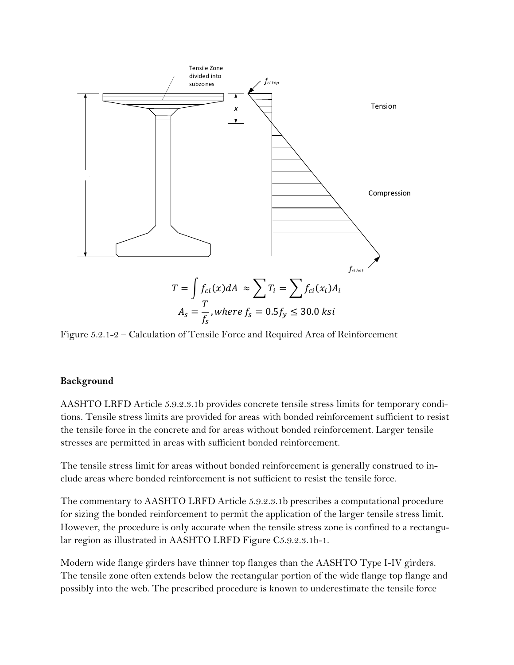

Figure 5.2.1-2 – Calculation of Tensile Force and Required Area of Reinforcement

## **Background**

AASHTO LRFD Article [5.9.2.3.1b](https://5.9.2.3.1b) provides concrete tensile stress limits for temporary conditions. Tensile stress limits are provided for areas with bonded reinforcement sufficient to resist the tensile force in the concrete and for areas without bonded reinforcement. Larger tensile stresses are permitted in areas with sufficient bonded reinforcement.

The tensile stress limit for areas without bonded reinforcement is generally construed to include areas where bonded reinforcement is not sufficient to resist the tensile force.

The commentary to AASHTO LRFD Article [5.9.2.3.1b](https://5.9.2.3.1b) prescribes a computational procedure for sizing the bonded reinforcement to permit the application of the larger tensile stress limit. However, the procedure is only accurate when the tensile stress zone is confined to a rectangular region as illustrated in AASHTO LRFD Figure C5.9.2.3.1b-1.

Modern wide flange girders have thinner top flanges than the AASHTO Type I-IV girders. The tensile zone often extends below the rectangular portion of the wide flange top flange and possibly into the web. The prescribed procedure is known to underestimate the tensile force